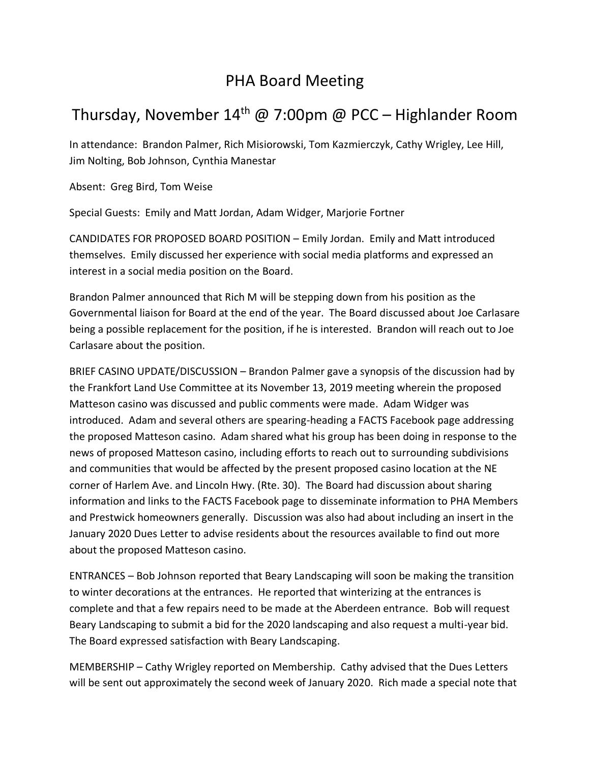## PHA Board Meeting

## Thursday, November 14<sup>th</sup> @ 7:00pm @ PCC – Highlander Room

In attendance: Brandon Palmer, Rich Misiorowski, Tom Kazmierczyk, Cathy Wrigley, Lee Hill, Jim Nolting, Bob Johnson, Cynthia Manestar

Absent: Greg Bird, Tom Weise

Special Guests: Emily and Matt Jordan, Adam Widger, Marjorie Fortner

CANDIDATES FOR PROPOSED BOARD POSITION – Emily Jordan. Emily and Matt introduced themselves. Emily discussed her experience with social media platforms and expressed an interest in a social media position on the Board.

Brandon Palmer announced that Rich M will be stepping down from his position as the Governmental liaison for Board at the end of the year. The Board discussed about Joe Carlasare being a possible replacement for the position, if he is interested. Brandon will reach out to Joe Carlasare about the position.

BRIEF CASINO UPDATE/DISCUSSION – Brandon Palmer gave a synopsis of the discussion had by the Frankfort Land Use Committee at its November 13, 2019 meeting wherein the proposed Matteson casino was discussed and public comments were made. Adam Widger was introduced. Adam and several others are spearing-heading a FACTS Facebook page addressing the proposed Matteson casino. Adam shared what his group has been doing in response to the news of proposed Matteson casino, including efforts to reach out to surrounding subdivisions and communities that would be affected by the present proposed casino location at the NE corner of Harlem Ave. and Lincoln Hwy. (Rte. 30). The Board had discussion about sharing information and links to the FACTS Facebook page to disseminate information to PHA Members and Prestwick homeowners generally. Discussion was also had about including an insert in the January 2020 Dues Letter to advise residents about the resources available to find out more about the proposed Matteson casino.

ENTRANCES – Bob Johnson reported that Beary Landscaping will soon be making the transition to winter decorations at the entrances. He reported that winterizing at the entrances is complete and that a few repairs need to be made at the Aberdeen entrance. Bob will request Beary Landscaping to submit a bid for the 2020 landscaping and also request a multi-year bid. The Board expressed satisfaction with Beary Landscaping.

MEMBERSHIP – Cathy Wrigley reported on Membership. Cathy advised that the Dues Letters will be sent out approximately the second week of January 2020. Rich made a special note that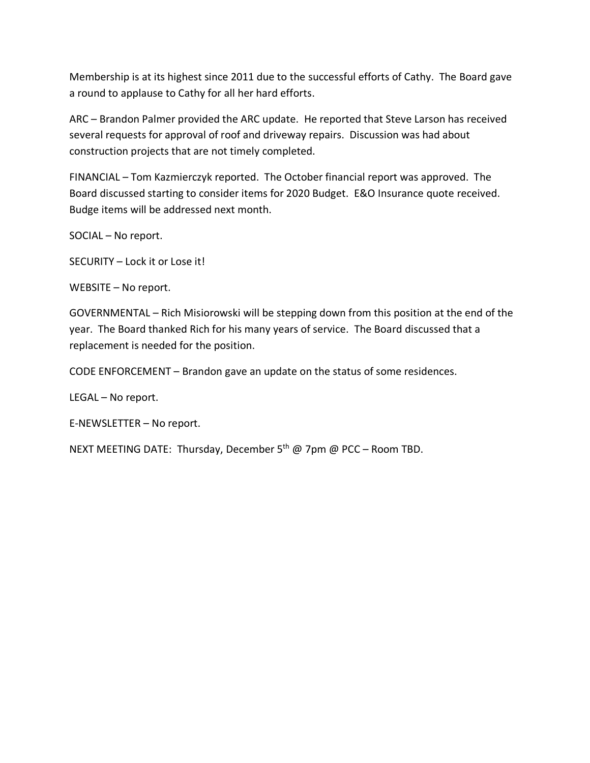Membership is at its highest since 2011 due to the successful efforts of Cathy. The Board gave a round to applause to Cathy for all her hard efforts.

ARC – Brandon Palmer provided the ARC update. He reported that Steve Larson has received several requests for approval of roof and driveway repairs. Discussion was had about construction projects that are not timely completed.

FINANCIAL – Tom Kazmierczyk reported. The October financial report was approved. The Board discussed starting to consider items for 2020 Budget. E&O Insurance quote received. Budge items will be addressed next month.

SOCIAL – No report.

SECURITY – Lock it or Lose it!

WEBSITE – No report.

GOVERNMENTAL – Rich Misiorowski will be stepping down from this position at the end of the year. The Board thanked Rich for his many years of service. The Board discussed that a replacement is needed for the position.

CODE ENFORCEMENT – Brandon gave an update on the status of some residences.

LEGAL – No report.

E-NEWSLETTER – No report.

NEXT MEETING DATE: Thursday, December 5<sup>th</sup> @ 7pm @ PCC – Room TBD.